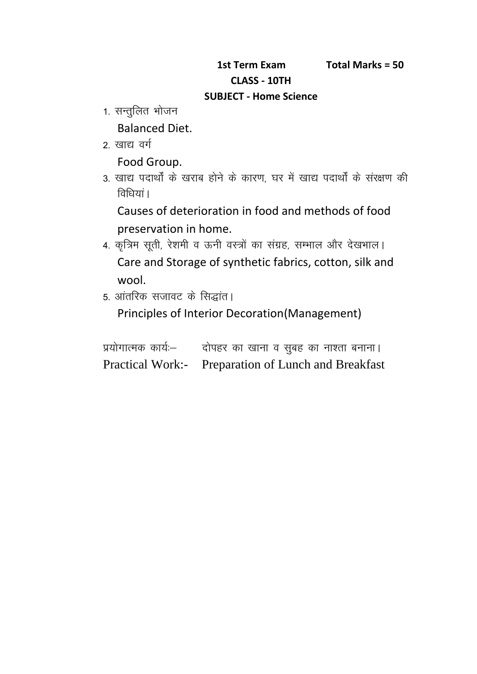## **CLASS - 10TH SUBJECT - Home Science**

- 1st Term Ex<br>: CLASS<br>1. सन्तुलित भोजन<br>Balanced Diet. Balanced Diet. Tot Term<br>CLASS<br>2. सन्तुलित भोजन<br>Balanced Diet.<br>2. खाद्य वर्ग<br>Food Group.
- 

Food Group.

1. सन्तुलित भोजन<br>Balanced Diet.<br>2. खाद्य वर्ग<br>5. खाद्य पदार्थों के खराब होने के कारण, घर में खाद्य पदार्थों के संरक्षण की<br>विधियां।<br>विधियां। Balanced Diet.<br>खाद्य वर्ग<br>Food Group.<br>खाद्य पदार्थों के खराब होने के क<br>विधियां।<br>Causes of deterioration in

Causes of deterioration in food and methods of food preservation in home.

- 3. खाद्य पदार्थों के खराब होने के कारण, घर में खाद्य पदार्थों के संरक्षण की<br>विधियां।<br>Causes of deterioration in food and methods of food<br>preservation in home.<br>4. कृत्रिम सूती, रेशमी व ऊनी वस्त्रों का संग्रह, सम्भाल और देख Care and Storage of synthetic fabrics, cotton, silk and wool. 4. कृत्रिम सूती, रेशमी व ऊनी वस्त्रों का संग्रह, सम्भाल और देखभाल।<br>Care and Storage of synthetic fabrics, cotton, silk an<br>wool.<br>5. आंतरिक सजावट के सिद्धांत।
- 

| wool.<br>5. आंतरिक सजावट के सिद्धांत।          |                                                           |  |
|------------------------------------------------|-----------------------------------------------------------|--|
| Principles of Interior Decoration (Management) |                                                           |  |
|                                                |                                                           |  |
|                                                | प्रयोगात्मक कार्यः- वोपहर का खाना व सुबह का नाश्ता बनाना। |  |
|                                                | Practical Work:- Preparation of Lunch and Breakfast       |  |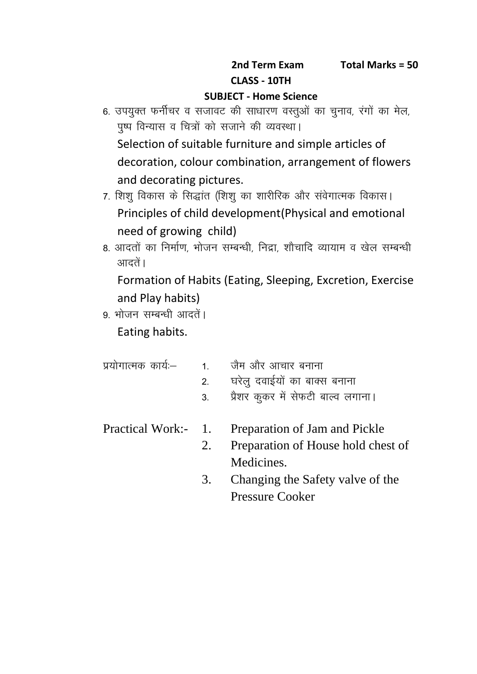## **SUBJECT - Home Science**

- and Term Exam Total Marks = 50<br>CLASS 10TH<br>6. उपयुक्त फर्नीचर व सजावट की साधारण वस्तुओं का चुनाव, रंगों का मेल,<br>पुष्प विन्यास व चित्रों को सजाने की व्यवस्था। iq"i foU;kl o fp=k s a dk s ltku s dh O;oLFkkA Selection of suitable furniture and simple articles of decoration, colour combination, arrangement of flowers and decorating pictures. पुष्प विन्यास व चित्रों को सजाने की व्यवस्था।<br>Selection of suitable furniture and simple articles of<br>decoration, colour combination, arrangement of flowers<br>and decorating pictures.<br>7. शिशु विकास के सिद्धांत (शिशु का शारीर
- Principles of child development(Physical and emotional need of growing child) and decorating pictures.<br>7. शिशु विकास के सिद्धांत (शिशु का शारीरिक और संवेगात्मक विकास।<br>Principles of child development(Physical and emotional<br>need of growing child)<br>8. आदतों का निर्माण, भोजन सम्बन्धी, निद्रा, शौचादि व्य
- आदतें।

Formation of Habits (Eating, Sleeping, Excretion, Exercise and Play habits) 8. आदतों का निर्माण, भोजन सम्बन्धी, निद्रा, शौचादि व्यायाम व खेल सम्बन्धी<br>आदतें।<br>Formation of Habits (Eating, Sleeping, Excretion, Exercise<br>and Play habits)<br>9. भोजन सम्बन्धी आदतें।

| and Play habits)<br>9. भोजन सम्बन्धी आदतें।<br>Eating habits. |    |                                                        |
|---------------------------------------------------------------|----|--------------------------------------------------------|
|                                                               |    | प्रयोगात्मक कार्यः—         1.       जैम और आचार बनाना |
|                                                               | 2. | घरेलु दवाईयों का बाक्स बनाना                           |
|                                                               | 3. | प्रैशर कुकर में सेफटी बाल्व लगाना।                     |
| Practical Work:- 1.                                           |    | Preparation of Jam and Pickle                          |
|                                                               | 2. | Preparation of House hold chest of                     |
|                                                               |    | Medicines.                                             |
|                                                               | 3. | Changing the Safety valve of the                       |
|                                                               |    | <b>Pressure Cooker</b>                                 |